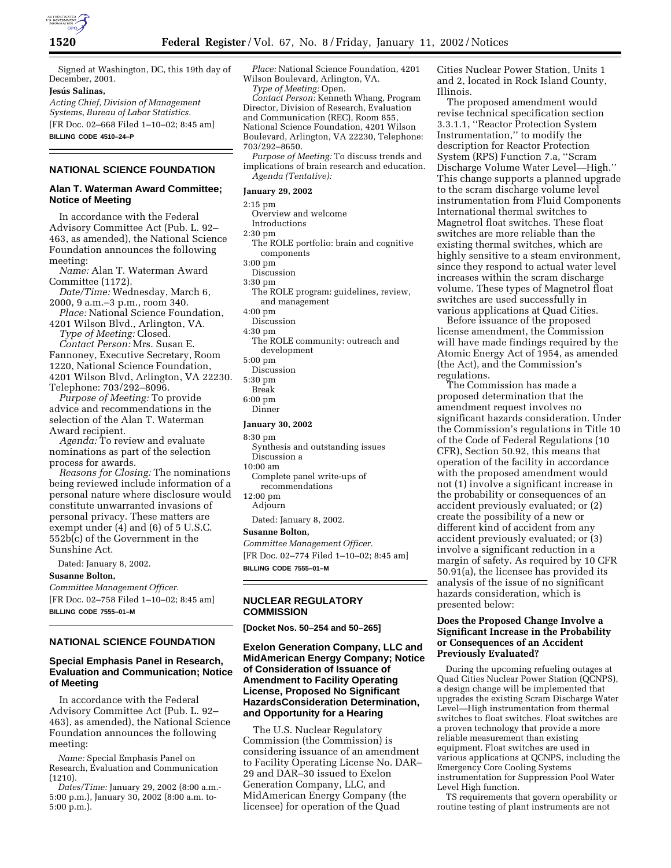

Signed at Washington, DC, this 19th day of December, 2001.

# **Jesu´ s Salinas,**

*Acting Chief, Division of Management Systems, Bureau of Labor Statistics.* [FR Doc. 02–668 Filed 1–10–02; 8:45 am]

**BILLING CODE 4510–24–P**

# **NATIONAL SCIENCE FOUNDATION**

### **Alan T. Waterman Award Committee; Notice of Meeting**

In accordance with the Federal Advisory Committee Act (Pub. L. 92– 463, as amended), the National Science Foundation announces the following meeting:

*Name:* Alan T. Waterman Award Committee (1172).

*Date/Time:* Wednesday, March 6, 2000, 9 a.m.–3 p.m., room 340.

*Place:* National Science Foundation, 4201 Wilson Blvd., Arlington, VA.

- *Type of Meeting:* Closed. *Contact Person:* Mrs. Susan E.
- Fannoney, Executive Secretary, Room 1220, National Science Foundation, 4201 Wilson Blvd, Arlington, VA 22230. Telephone: 703/292–8096.

*Purpose of Meeting:* To provide advice and recommendations in the selection of the Alan T. Waterman Award recipient.

*Agenda:* To review and evaluate nominations as part of the selection process for awards.

*Reasons for Closing:* The nominations being reviewed include information of a personal nature where disclosure would constitute unwarranted invasions of personal privacy. These matters are exempt under (4) and (6) of 5 U.S.C. 552b(c) of the Government in the Sunshine Act.

Dated: January 8, 2002.

**Susanne Bolton,**

*Committee Management Officer.* [FR Doc. 02–758 Filed 1–10–02; 8:45 am]

**BILLING CODE 7555–01–M**

# **NATIONAL SCIENCE FOUNDATION**

### **Special Emphasis Panel in Research, Evaluation and Communication; Notice of Meeting**

In accordance with the Federal Advisory Committee Act (Pub. L. 92– 463), as amended), the National Science Foundation announces the following meeting:

*Name:* Special Emphasis Panel on Research, Evaluation and Communication (1210).

*Dates/Time:* January 29, 2002 (8:00 a.m.- 5:00 p.m.), January 30, 2002 (8:00 a.m. to-5:00 p.m.).

*Place:* National Science Foundation, 4201 Wilson Boulevard, Arlington, VA. *Type of Meeting:* Open.

*Contact Person:* Kenneth Whang, Program Director, Division of Research, Evaluation and Communication (REC), Room 855, National Science Foundation, 4201 Wilson Boulevard, Arlington, VA 22230, Telephone: 703/292–8650.

*Purpose of Meeting:* To discuss trends and implications of brain research and education. *Agenda (Tentative):*

#### **January 29, 2002**

2:15 pm

Overview and welcome

Introductions

2:30 pm

- The ROLE portfolio: brain and cognitive components
- 3:00 pm
- Discussion

3:30 pm

- The ROLE program: guidelines, review, and management
- 4:00 pm
- Discussion
- 4:30 pm
	- The ROLE community: outreach and development
- 5:00 pm
- Discussion 5:30 pm
- Break
- 6:00 pm
- Dinner

#### **January 30, 2002**

8:30 pm

- Synthesis and outstanding issues Discussion a
- 10:00 am
- Complete panel write-ups of recommendations
- 12:00 pm Adjourn
	- Dated: January 8, 2002.

# **Susanne Bolton,**

*Committee Management Officer.* [FR Doc. 02–774 Filed 1–10–02; 8:45 am] **BILLING CODE 7555–01–M**

#### **NUCLEAR REGULATORY COMMISSION**

**[Docket Nos. 50–254 and 50–265]**

### **Exelon Generation Company, LLC and MidAmerican Energy Company; Notice of Consideration of Issuance of Amendment to Facility Operating License, Proposed No Significant HazardsConsideration Determination, and Opportunity for a Hearing**

The U.S. Nuclear Regulatory Commission (the Commission) is considering issuance of an amendment to Facility Operating License No. DAR– 29 and DAR–30 issued to Exelon Generation Company, LLC, and MidAmerican Energy Company (the licensee) for operation of the Quad

Cities Nuclear Power Station, Units 1 and 2, located in Rock Island County, Illinois.

The proposed amendment would revise technical specification section 3.3.1.1, ''Reactor Protection System Instrumentation,'' to modify the description for Reactor Protection System (RPS) Function 7.a, ''Scram Discharge Volume Water Level—High.'' This change supports a planned upgrade to the scram discharge volume level instrumentation from Fluid Components International thermal switches to Magnetrol float switches. These float switches are more reliable than the existing thermal switches, which are highly sensitive to a steam environment, since they respond to actual water level increases within the scram discharge volume. These types of Magnetrol float switches are used successfully in various applications at Quad Cities.

Before issuance of the proposed license amendment, the Commission will have made findings required by the Atomic Energy Act of 1954, as amended (the Act), and the Commission's regulations.

The Commission has made a proposed determination that the amendment request involves no significant hazards consideration. Under the Commission's regulations in Title 10 of the Code of Federal Regulations (10 CFR), Section 50.92, this means that operation of the facility in accordance with the proposed amendment would not (1) involve a significant increase in the probability or consequences of an accident previously evaluated; or (2) create the possibility of a new or different kind of accident from any accident previously evaluated; or (3) involve a significant reduction in a margin of safety. As required by 10 CFR 50.91(a), the licensee has provided its analysis of the issue of no significant hazards consideration, which is presented below:

### **Does the Proposed Change Involve a Significant Increase in the Probability or Consequences of an Accident Previously Evaluated?**

During the upcoming refueling outages at Quad Cities Nuclear Power Station (QCNPS), a design change will be implemented that upgrades the existing Scram Discharge Water Level—High instrumentation from thermal switches to float switches. Float switches are a proven technology that provide a more reliable measurement than existing equipment. Float switches are used in various applications at QCNPS, including the Emergency Core Cooling Systems instrumentation for Suppression Pool Water Level High function.

TS requirements that govern operability or routine testing of plant instruments are not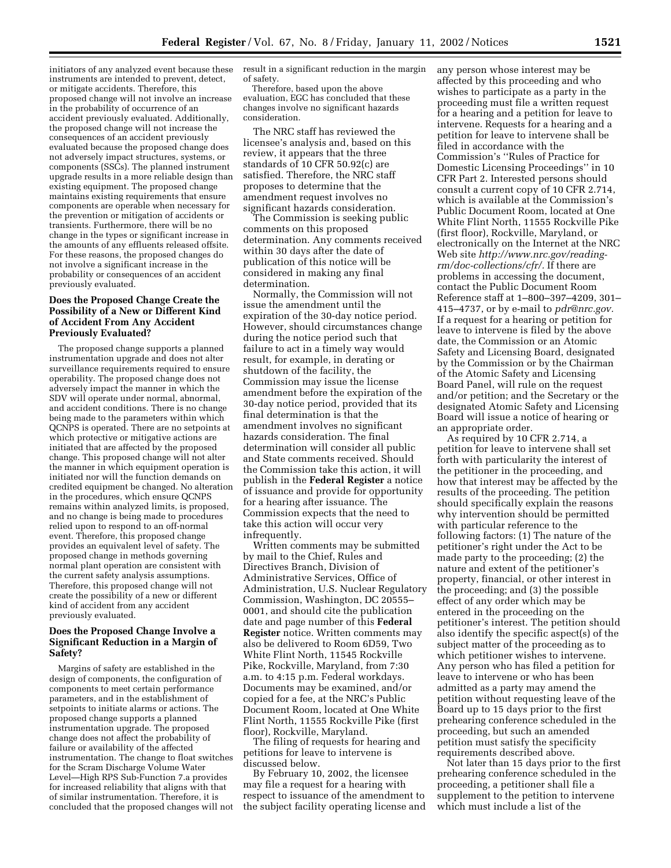initiators of any analyzed event because these instruments are intended to prevent, detect, or mitigate accidents. Therefore, this proposed change will not involve an increase in the probability of occurrence of an accident previously evaluated. Additionally, the proposed change will not increase the consequences of an accident previously evaluated because the proposed change does not adversely impact structures, systems, or components (SSCs). The planned instrument upgrade results in a more reliable design than existing equipment. The proposed change maintains existing requirements that ensure components are operable when necessary for the prevention or mitigation of accidents or transients. Furthermore, there will be no change in the types or significant increase in the amounts of any effluents released offsite. For these reasons, the proposed changes do not involve a significant increase in the probability or consequences of an accident previously evaluated.

### **Does the Proposed Change Create the Possibility of a New or Different Kind of Accident From Any Accident Previously Evaluated?**

The proposed change supports a planned instrumentation upgrade and does not alter surveillance requirements required to ensure operability. The proposed change does not adversely impact the manner in which the SDV will operate under normal, abnormal, and accident conditions. There is no change being made to the parameters within which QCNPS is operated. There are no setpoints at which protective or mitigative actions are initiated that are affected by the proposed change. This proposed change will not alter the manner in which equipment operation is initiated nor will the function demands on credited equipment be changed. No alteration in the procedures, which ensure QCNPS remains within analyzed limits, is proposed, and no change is being made to procedures relied upon to respond to an off-normal event. Therefore, this proposed change provides an equivalent level of safety. The proposed change in methods governing normal plant operation are consistent with the current safety analysis assumptions. Therefore, this proposed change will not create the possibility of a new or different kind of accident from any accident previously evaluated.

# **Does the Proposed Change Involve a Significant Reduction in a Margin of Safety?**

Margins of safety are established in the design of components, the configuration of components to meet certain performance parameters, and in the establishment of setpoints to initiate alarms or actions. The proposed change supports a planned instrumentation upgrade. The proposed change does not affect the probability of failure or availability of the affected instrumentation. The change to float switches for the Scram Discharge Volume Water Level—High RPS Sub-Function 7.a provides for increased reliability that aligns with that of similar instrumentation. Therefore, it is concluded that the proposed changes will not result in a significant reduction in the margin of safety.

Therefore, based upon the above evaluation, EGC has concluded that these changes involve no significant hazards consideration.

The NRC staff has reviewed the licensee's analysis and, based on this review, it appears that the three standards of 10 CFR 50.92(c) are satisfied. Therefore, the NRC staff proposes to determine that the amendment request involves no significant hazards consideration.

The Commission is seeking public comments on this proposed determination. Any comments received within 30 days after the date of publication of this notice will be considered in making any final determination.

Normally, the Commission will not issue the amendment until the expiration of the 30-day notice period. However, should circumstances change during the notice period such that failure to act in a timely way would result, for example, in derating or shutdown of the facility, the Commission may issue the license amendment before the expiration of the 30-day notice period, provided that its final determination is that the amendment involves no significant hazards consideration. The final determination will consider all public and State comments received. Should the Commission take this action, it will publish in the **Federal Register** a notice of issuance and provide for opportunity for a hearing after issuance. The Commission expects that the need to take this action will occur very infrequently.

Written comments may be submitted by mail to the Chief, Rules and Directives Branch, Division of Administrative Services, Office of Administration, U.S. Nuclear Regulatory Commission, Washington, DC 20555– 0001, and should cite the publication date and page number of this **Federal Register** notice. Written comments may also be delivered to Room 6D59, Two White Flint North, 11545 Rockville Pike, Rockville, Maryland, from 7:30 a.m. to 4:15 p.m. Federal workdays. Documents may be examined, and/or copied for a fee, at the NRC's Public Document Room, located at One White Flint North, 11555 Rockville Pike (first floor), Rockville, Maryland.

The filing of requests for hearing and petitions for leave to intervene is discussed below.

By February 10, 2002, the licensee may file a request for a hearing with respect to issuance of the amendment to the subject facility operating license and any person whose interest may be affected by this proceeding and who wishes to participate as a party in the proceeding must file a written request for a hearing and a petition for leave to intervene. Requests for a hearing and a petition for leave to intervene shall be filed in accordance with the Commission's ''Rules of Practice for Domestic Licensing Proceedings'' in 10 CFR Part 2. Interested persons should consult a current copy of 10 CFR 2.714, which is available at the Commission's Public Document Room, located at One White Flint North, 11555 Rockville Pike (first floor), Rockville, Maryland, or electronically on the Internet at the NRC Web site *http://www.nrc.gov/readingrm/doc-collections/cfr/.* If there are problems in accessing the document, contact the Public Document Room Reference staff at 1–800–397–4209, 301– 415–4737, or by e-mail to *pdr@nrc.gov.* If a request for a hearing or petition for leave to intervene is filed by the above date, the Commission or an Atomic Safety and Licensing Board, designated by the Commission or by the Chairman of the Atomic Safety and Licensing Board Panel, will rule on the request and/or petition; and the Secretary or the designated Atomic Safety and Licensing Board will issue a notice of hearing or an appropriate order.

As required by 10 CFR 2.714, a petition for leave to intervene shall set forth with particularity the interest of the petitioner in the proceeding, and how that interest may be affected by the results of the proceeding. The petition should specifically explain the reasons why intervention should be permitted with particular reference to the following factors: (1) The nature of the petitioner's right under the Act to be made party to the proceeding; (2) the nature and extent of the petitioner's property, financial, or other interest in the proceeding; and (3) the possible effect of any order which may be entered in the proceeding on the petitioner's interest. The petition should also identify the specific aspect(s) of the subject matter of the proceeding as to which petitioner wishes to intervene. Any person who has filed a petition for leave to intervene or who has been admitted as a party may amend the petition without requesting leave of the Board up to 15 days prior to the first prehearing conference scheduled in the proceeding, but such an amended petition must satisfy the specificity requirements described above.

Not later than 15 days prior to the first prehearing conference scheduled in the proceeding, a petitioner shall file a supplement to the petition to intervene which must include a list of the